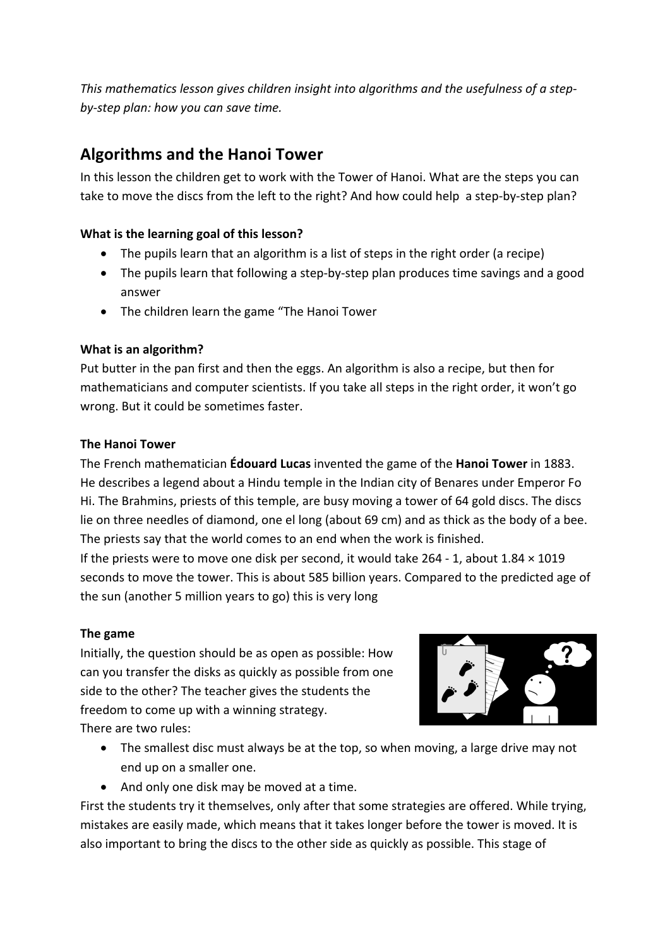This mathematics lesson gives children insight into algorithms and the usefulness of a step*by-step plan: how you can save time.*

# **Algorithms and the Hanoi Tower**

In this lesson the children get to work with the Tower of Hanoi. What are the steps you can take to move the discs from the left to the right? And how could help a step-by-step plan?

# **What is the learning goal of this lesson?**

- The pupils learn that an algorithm is a list of steps in the right order (a recipe)
- The pupils learn that following a step-by-step plan produces time savings and a good answer
- The children learn the game "The Hanoi Tower

# **What is an algorithm?**

Put butter in the pan first and then the eggs. An algorithm is also a recipe, but then for mathematicians and computer scientists. If you take all steps in the right order, it won't go wrong. But it could be sometimes faster.

# **The Hanoi Tower**

The French mathematician **Édouard Lucas** invented the game of the **Hanoi Tower** in 1883. He describes a legend about a Hindu temple in the Indian city of Benares under Emperor Fo Hi. The Brahmins, priests of this temple, are busy moving a tower of 64 gold discs. The discs lie on three needles of diamond, one el long (about 69 cm) and as thick as the body of a bee. The priests say that the world comes to an end when the work is finished.

If the priests were to move one disk per second, it would take  $264 - 1$ , about  $1.84 \times 1019$ seconds to move the tower. This is about 585 billion years. Compared to the predicted age of the sun (another 5 million years to go) this is very long

# **The game**

Initially, the question should be as open as possible: How can you transfer the disks as quickly as possible from one side to the other? The teacher gives the students the freedom to come up with a winning strategy. There are two rules:



- The smallest disc must always be at the top, so when moving, a large drive may not end up on a smaller one.
- And only one disk may be moved at a time.

First the students try it themselves, only after that some strategies are offered. While trying, mistakes are easily made, which means that it takes longer before the tower is moved. It is also important to bring the discs to the other side as quickly as possible. This stage of